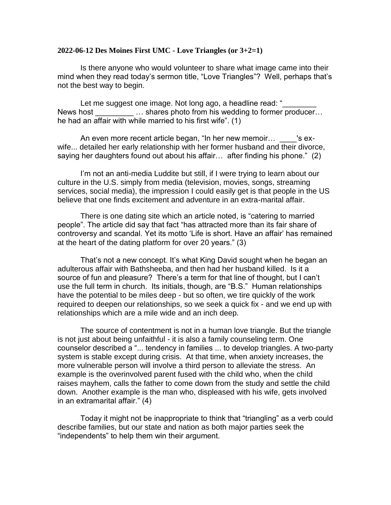## **2022-06-12 Des Moines First UMC - Love Triangles (or 3+2=1)**

Is there anyone who would volunteer to share what image came into their mind when they read today's sermon title, "Love Triangles"? Well, perhaps that's not the best way to begin.

Let me suggest one image. Not long ago, a headline read: " News host **Example 1...** shares photo from his wedding to former producer... he had an affair with while married to his first wife". (1)

An even more recent article began, "In her new memoir... \_\_\_\_\_'s exwife... detailed her early relationship with her former husband and their divorce, saying her daughters found out about his affair… after finding his phone." (2)

I'm not an anti-media Luddite but still, if I were trying to learn about our culture in the U.S. simply from media (television, movies, songs, streaming services, social media), the impression I could easily get is that people in the US believe that one finds excitement and adventure in an extra-marital affair.

There is one dating site which an article noted, is "catering to married people". The article did say that fact "has attracted more than its fair share of controversy and scandal. Yet its motto 'Life is short. Have an affair' has remained at the heart of the dating platform for over 20 years." (3)

That's not a new concept. It's what King David sought when he began an adulterous affair with Bathsheeba, and then had her husband killed. Is it a source of fun and pleasure? There's a term for that line of thought, but I can't use the full term in church. Its initials, though, are "B.S." Human relationships have the potential to be miles deep - but so often, we tire quickly of the work required to deepen our relationships, so we seek a quick fix - and we end up with relationships which are a mile wide and an inch deep.

The source of contentment is not in a human love triangle. But the triangle is not just about being unfaithful - it is also a family counseling term. One counselor described a "... tendency in families ... to develop triangles. A two-party system is stable except during crisis. At that time, when anxiety increases, the more vulnerable person will involve a third person to alleviate the stress. An example is the overinvolved parent fused with the child who, when the child raises mayhem, calls the father to come down from the study and settle the child down. Another example is the man who, displeased with his wife, gets involved in an extramarital affair." (4)

Today it might not be inappropriate to think that "triangling" as a verb could describe families, but our state and nation as both major parties seek the "independents" to help them win their argument.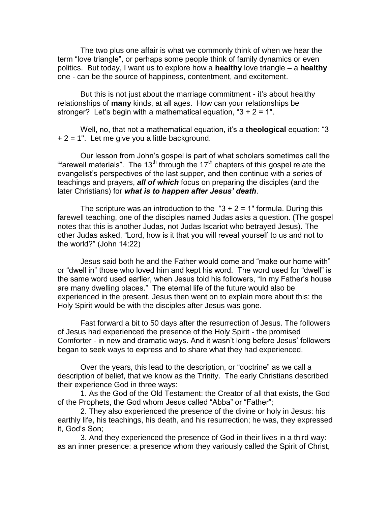The two plus one affair is what we commonly think of when we hear the term "love triangle", or perhaps some people think of family dynamics or even politics. But today, I want us to explore how a **healthy** love triangle – a **healthy**  one - can be the source of happiness, contentment, and excitement.

But this is not just about the marriage commitment - it's about healthy relationships of **many** kinds, at all ages. How can your relationships be stronger? Let's begin with a mathematical equation, " $3 + 2 = 1$ ".

Well, no, that not a mathematical equation, it's a **theological** equation: "3  $+ 2 = 1$ ". Let me give you a little background.

Our lesson from John's gospel is part of what scholars sometimes call the "farewell materials". The 13<sup>th</sup> through the 17<sup>th</sup> chapters of this gospel relate the evangelist's perspectives of the last supper, and then continue with a series of teachings and prayers, *all of which* focus on preparing the disciples (and the later Christians) for *what is to happen after Jesus' death*.

The scripture was an introduction to the " $3 + 2 = 1$ " formula. During this farewell teaching, one of the disciples named Judas asks a question. (The gospel notes that this is another Judas, not Judas Iscariot who betrayed Jesus). The other Judas asked, "Lord, how is it that you will reveal yourself to us and not to the world?" (John 14:22)

Jesus said both he and the Father would come and "make our home with" or "dwell in" those who loved him and kept his word. The word used for "dwell" is the same word used earlier, when Jesus told his followers, "In my Father's house are many dwelling places." The eternal life of the future would also be experienced in the present. Jesus then went on to explain more about this: the Holy Spirit would be with the disciples after Jesus was gone.

Fast forward a bit to 50 days after the resurrection of Jesus. The followers of Jesus had experienced the presence of the Holy Spirit - the promised Comforter - in new and dramatic ways. And it wasn't long before Jesus' followers began to seek ways to express and to share what they had experienced.

Over the years, this lead to the description, or "doctrine" as we call a description of belief, that we know as the Trinity. The early Christians described their experience God in three ways:

1. As the God of the Old Testament: the Creator of all that exists, the God of the Prophets, the God whom Jesus called "Abba" or "Father";

2. They also experienced the presence of the divine or holy in Jesus: his earthly life, his teachings, his death, and his resurrection; he was, they expressed it, God's Son;

3. And they experienced the presence of God in their lives in a third way: as an inner presence: a presence whom they variously called the Spirit of Christ,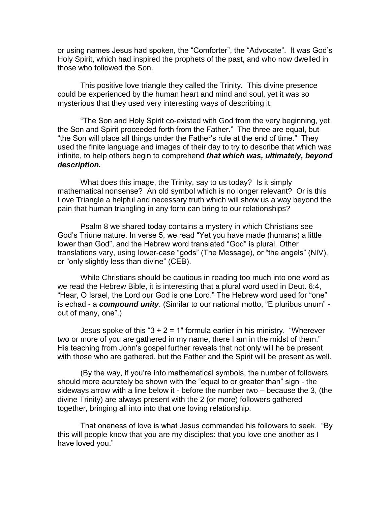or using names Jesus had spoken, the "Comforter", the "Advocate". It was God's Holy Spirit, which had inspired the prophets of the past, and who now dwelled in those who followed the Son.

This positive love triangle they called the Trinity. This divine presence could be experienced by the human heart and mind and soul, yet it was so mysterious that they used very interesting ways of describing it.

"The Son and Holy Spirit co-existed with God from the very beginning, yet the Son and Spirit proceeded forth from the Father." The three are equal, but "the Son will place all things under the Father's rule at the end of time." They used the finite language and images of their day to try to describe that which was infinite, to help others begin to comprehend *that which was, ultimately, beyond description.*

What does this image, the Trinity, say to us today? Is it simply mathematical nonsense? An old symbol which is no longer relevant? Or is this Love Triangle a helpful and necessary truth which will show us a way beyond the pain that human triangling in any form can bring to our relationships?

Psalm 8 we shared today contains a mystery in which Christians see God's Triune nature. In verse 5, we read "Yet you have made (humans) a little lower than God", and the Hebrew word translated "God" is plural. Other translations vary, using lower-case "gods" (The Message), or "the angels" (NIV), or "only slightly less than divine" (CEB).

While Christians should be cautious in reading too much into one word as we read the Hebrew Bible, it is interesting that a plural word used in Deut. 6:4, "Hear, O Israel, the Lord our God is one Lord." The Hebrew word used for "one" is echad - a *compound unity*. (Similar to our national motto, "E pluribus unum" out of many, one".)

Jesus spoke of this " $3 + 2 = 1$ " formula earlier in his ministry. "Wherever two or more of you are gathered in my name, there I am in the midst of them." His teaching from John's gospel further reveals that not only will he be present with those who are gathered, but the Father and the Spirit will be present as well.

(By the way, if you're into mathematical symbols, the number of followers should more acurately be shown with the "equal to or greater than" sign - the sideways arrow with a line below it - before the number two – because the 3, (the divine Trinity) are always present with the 2 (or more) followers gathered together, bringing all into into that one loving relationship.

That oneness of love is what Jesus commanded his followers to seek. "By this will people know that you are my disciples: that you love one another as I have loved you."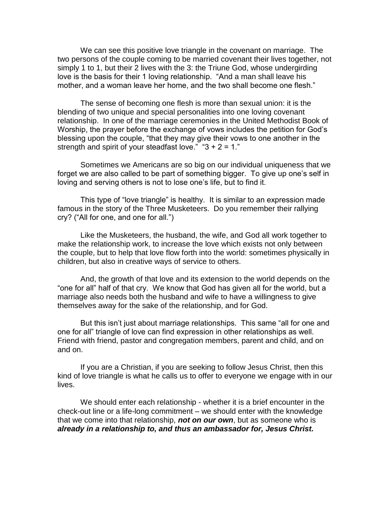We can see this positive love triangle in the covenant on marriage. The two persons of the couple coming to be married covenant their lives together, not simply 1 to 1, but their 2 lives with the 3: the Triune God, whose undergirding love is the basis for their 1 loving relationship. "And a man shall leave his mother, and a woman leave her home, and the two shall become one flesh."

The sense of becoming one flesh is more than sexual union: it is the blending of two unique and special personalities into one loving covenant relationship. In one of the marriage ceremonies in the United Methodist Book of Worship, the prayer before the exchange of vows includes the petition for God's blessing upon the couple, "that they may give their vows to one another in the strength and spirit of your steadfast love." " $3 + 2 = 1$ ."

Sometimes we Americans are so big on our individual uniqueness that we forget we are also called to be part of something bigger. To give up one's self in loving and serving others is not to lose one's life, but to find it.

This type of "love triangle" is healthy. It is similar to an expression made famous in the story of the Three Musketeers. Do you remember their rallying cry? ("All for one, and one for all.")

Like the Musketeers, the husband, the wife, and God all work together to make the relationship work, to increase the love which exists not only between the couple, but to help that love flow forth into the world: sometimes physically in children, but also in creative ways of service to others.

And, the growth of that love and its extension to the world depends on the "one for all" half of that cry. We know that God has given all for the world, but a marriage also needs both the husband and wife to have a willingness to give themselves away for the sake of the relationship, and for God.

But this isn't just about marriage relationships. This same "all for one and one for all" triangle of love can find expression in other relationships as well. Friend with friend, pastor and congregation members, parent and child, and on and on.

If you are a Christian, if you are seeking to follow Jesus Christ, then this kind of love triangle is what he calls us to offer to everyone we engage with in our lives.

We should enter each relationship - whether it is a brief encounter in the check-out line or a life-long commitment – we should enter with the knowledge that we come into that relationship, *not on our own*, but as someone who is *already in a relationship to, and thus an ambassador for, Jesus Christ.*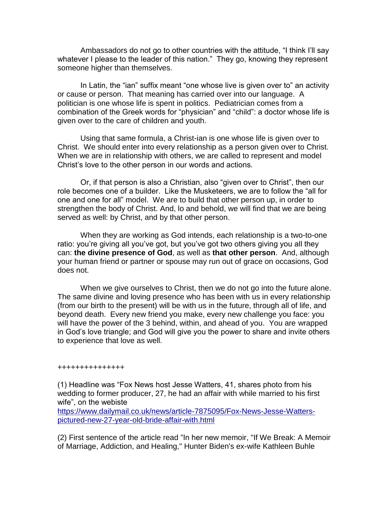Ambassadors do not go to other countries with the attitude, "I think I'll say whatever I please to the leader of this nation." They go, knowing they represent someone higher than themselves.

In Latin, the "ian" suffix meant "one whose live is given over to" an activity or cause or person. That meaning has carried over into our language. A politician is one whose life is spent in politics. Pediatrician comes from a combination of the Greek words for "physician" and "child": a doctor whose life is given over to the care of children and youth.

Using that same formula, a Christ-ian is one whose life is given over to Christ. We should enter into every relationship as a person given over to Christ. When we are in relationship with others, we are called to represent and model Christ's love to the other person in our words and actions.

Or, if that person is also a Christian, also "given over to Christ", then our role becomes one of a builder. Like the Musketeers, we are to follow the "all for one and one for all" model. We are to build that other person up, in order to strengthen the body of Christ. And, lo and behold, we will find that we are being served as well: by Christ, and by that other person.

When they are working as God intends, each relationship is a two-to-one ratio: you're giving all you've got, but you've got two others giving you all they can: **the divine presence of God**, as well as **that other person**. And, although your human friend or partner or spouse may run out of grace on occasions, God does not.

When we give ourselves to Christ, then we do not go into the future alone. The same divine and loving presence who has been with us in every relationship (from our birth to the present) will be with us in the future, through all of life, and beyond death. Every new friend you make, every new challenge you face: you will have the power of the 3 behind, within, and ahead of you. You are wrapped in God's love triangle; and God will give you the power to share and invite others to experience that love as well.

## +++++++++++++++

(1) Headline was "Fox News host Jesse Watters, 41, shares photo from his wedding to former producer, 27, he had an affair with while married to his first wife", on the webiste

[https://www.dailymail.co.uk/news/article-7875095/Fox-News-Jesse-Watters](https://www.dailymail.co.uk/news/article-7875095/Fox-News-Jesse-Watters-pictured-new-27-year-old-bride-affair-with.html)[pictured-new-27-year-old-bride-affair-with.html](https://www.dailymail.co.uk/news/article-7875095/Fox-News-Jesse-Watters-pictured-new-27-year-old-bride-affair-with.html)

(2) First sentence of the article read "In her new memoir, "If We Break: A Memoir of Marriage, Addiction, and Healing," Hunter Biden's ex-wife Kathleen Buhle